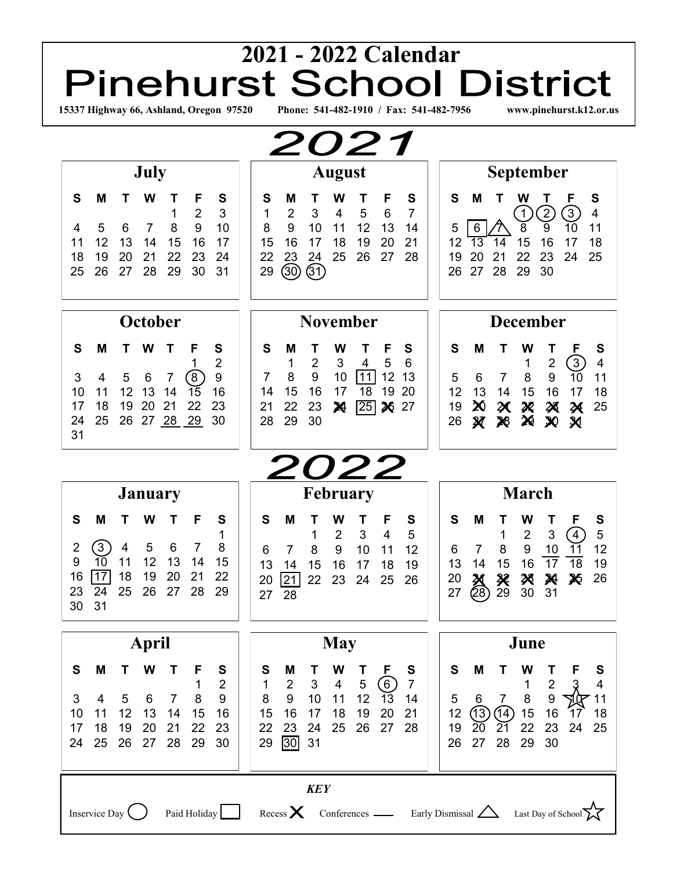# <sup>2021</sup> <sup>2021</sup> <sup>2022</sup> Calendar<br> **Pinehurst School District 15337 Highway 66, Ashland, Oregon 97520 Phone: 541-482-1910 / Fax: 541-482-7956 www.pinehurst.k12.or.us**

| <b>2021</b>                                                                                                                                                                                                                                                                       |                                                                                                                                                                                                                                                                                          |                                                                                                                                                                                                                                                                                                                                                          |  |  |  |  |  |
|-----------------------------------------------------------------------------------------------------------------------------------------------------------------------------------------------------------------------------------------------------------------------------------|------------------------------------------------------------------------------------------------------------------------------------------------------------------------------------------------------------------------------------------------------------------------------------------|----------------------------------------------------------------------------------------------------------------------------------------------------------------------------------------------------------------------------------------------------------------------------------------------------------------------------------------------------------|--|--|--|--|--|
| July                                                                                                                                                                                                                                                                              | <b>August</b>                                                                                                                                                                                                                                                                            | <b>September</b>                                                                                                                                                                                                                                                                                                                                         |  |  |  |  |  |
| S<br>M<br>S<br>W<br>F<br>Т<br>$\overline{2}$<br>3<br>1<br>8<br>9<br>10<br>5<br>6<br>7<br>4<br>12<br>13<br>17<br>14<br>15<br>16<br>11<br>19<br>20<br>21<br>22<br>18<br>23<br>24<br>28<br>25<br>26<br>27<br>29<br>30<br>31                                                          | S<br>S<br>W<br>F<br>M<br>Τ<br>$\overline{7}$<br>1<br>$\overline{2}$<br>3<br>5<br>6<br>4<br>8<br>9<br>10<br>12<br>11<br>13<br>14<br>16<br>17<br>19<br>15<br>18<br>20<br>21<br>25<br>22<br>23<br>26<br>27<br>28<br>24<br>③<br>(31)<br>29                                                   | S<br>S<br>F<br>М<br>w<br>Τ<br>2<br>3)<br>$\overline{4}$<br>$\boxed{1}$<br>9<br>10<br>8<br>11<br>5<br>6<br>17<br>15<br>16<br>12<br>18<br>13<br>14<br>22<br>20<br>23<br>24<br>25<br>19<br>21<br>29<br>26<br>27<br>28<br>30                                                                                                                                 |  |  |  |  |  |
| October                                                                                                                                                                                                                                                                           | <b>November</b>                                                                                                                                                                                                                                                                          | <b>December</b>                                                                                                                                                                                                                                                                                                                                          |  |  |  |  |  |
| S<br>M<br>S<br>W<br>F<br>$\overline{2}$<br>1<br>9<br>$\left(8\right)$<br>3<br>4<br>5<br>7<br>6<br>13<br>16<br>11<br>12<br>15<br>10<br>14<br>19<br>20<br>18<br>21<br>22<br>23<br>17<br>25<br>27 28<br>26<br>29<br>30<br>24<br>31                                                   | S<br>S<br>W<br>F<br>M<br>$\overline{2}$<br>5<br>6<br>$\mathbf{1}$<br>3<br>4<br>$\boldsymbol{9}$<br>8<br>10<br> 11 <br>12<br>13<br>7<br>15<br>16<br>19<br>20<br>14<br>17<br>18<br>22<br>$\sqrt{25}$ 26<br>23<br>27<br>21<br>X<br>29<br>28<br>30                                           | S<br>F<br>S<br>W<br>M<br>Т<br>т<br>③<br>$\overline{4}$<br>$\boldsymbol{2}$<br>1<br>9<br>$\overline{10}$<br>11<br>8<br>$\overline{7}$<br>5<br>6<br>18<br>12<br>13<br>15<br>16<br>14<br>17<br>X<br>19<br>25<br>X<br>$\boldsymbol{\varkappa}$<br>溪<br>X<br>29<br>26<br>$\boldsymbol{\mathcal{X}}$<br>26<br>$\boldsymbol{\chi}$<br>$\boldsymbol{\mathsf{X}}$ |  |  |  |  |  |
|                                                                                                                                                                                                                                                                                   | <b>2022</b>                                                                                                                                                                                                                                                                              |                                                                                                                                                                                                                                                                                                                                                          |  |  |  |  |  |
| <b>January</b>                                                                                                                                                                                                                                                                    | <b>February</b>                                                                                                                                                                                                                                                                          | <b>March</b>                                                                                                                                                                                                                                                                                                                                             |  |  |  |  |  |
| S<br>M<br>S<br>W<br>F<br>1<br>$\Large{(3)}$<br>8<br>4<br>5<br>6<br>2<br>7<br>9<br>10<br>11<br>12<br>13<br>15<br>14<br>17<br>18<br>19<br>22<br>16<br>20<br>21<br>28<br>29<br>23<br>24<br>25<br>26<br>27<br>31<br>30                                                                | S<br>S<br>M<br>W<br>Τ<br>F<br>$\overline{2}$<br>$\mathfrak{B}$<br>$\overline{4}$<br>5<br>1<br>8<br>9<br>10<br>12<br>11<br>6<br>7<br>13<br>15<br>16<br>17<br>14<br>18<br>19<br>$\overline{21}$<br>22<br>23<br>24<br>25<br>26<br>20<br>28<br>27                                            | S<br>S<br>W<br>F<br>M<br>Т<br>T<br>$\overline{5}$<br>$\overline{2}$<br>$\sqrt{3}$<br>$\left(4\right)$<br>1<br>12<br>$\boldsymbol{9}$<br>8<br>10<br>11<br>6<br>7<br>$\overline{17}$<br>15<br>16<br>18<br>19<br>13<br>14<br>26<br>兴<br>$\boldsymbol{\chi}$<br>20<br>⋊<br>X<br>刭<br>28)<br>29<br>27<br>31<br>30                                             |  |  |  |  |  |
| April                                                                                                                                                                                                                                                                             | <b>May</b>                                                                                                                                                                                                                                                                               | June                                                                                                                                                                                                                                                                                                                                                     |  |  |  |  |  |
| M<br>S<br>T<br>W<br>S<br>Т<br>F<br>$\mathbf{2}$<br>1<br>$\, 8$<br>$\boldsymbol{9}$<br>$\mathfrak{S}$<br>$5\phantom{.0}$<br>6<br>4<br>$\overline{7}$<br>12<br>13<br>15<br>16<br>14<br>10<br>11<br>22<br>18<br>19<br>20<br>23<br>17<br>21<br>25<br>29<br>24<br>26<br>27<br>28<br>30 | S<br>S<br>M<br>W<br>Τ<br>F<br>T<br>(6)<br>$\sqrt{3}$<br>$\overline{4}$<br>$\mathbf{1}$<br>$\overline{2}$<br>$\sqrt{5}$<br>$\overline{7}$<br>9<br>$10$<br>8<br>11<br>12<br>13<br>14<br>20<br>16<br>17<br>18<br>19<br>15<br>21<br>25<br>27<br>22<br>23<br>24<br>26<br>28<br>30<br>31<br>29 | S<br>M<br>W<br>Т<br>т<br>S<br>$\overline{2}$<br>4<br>1<br>9<br>$\,8\,$<br>5<br>$\overline{7}$<br>র্বাসে<br>6<br>11<br>(13)<br>$(14)$ 15<br>16<br>12<br>18<br>17<br>22<br>23<br>19<br>20<br>21<br>24<br>25<br>29<br>27<br>28<br>30<br>26                                                                                                                  |  |  |  |  |  |
| <b>KEY</b><br>Paid Holiday Recess $\times$ Conferences — Early Dismissal $\triangle$ Last Day of School $\chi$<br>Inservice Day $\big($ )                                                                                                                                         |                                                                                                                                                                                                                                                                                          |                                                                                                                                                                                                                                                                                                                                                          |  |  |  |  |  |